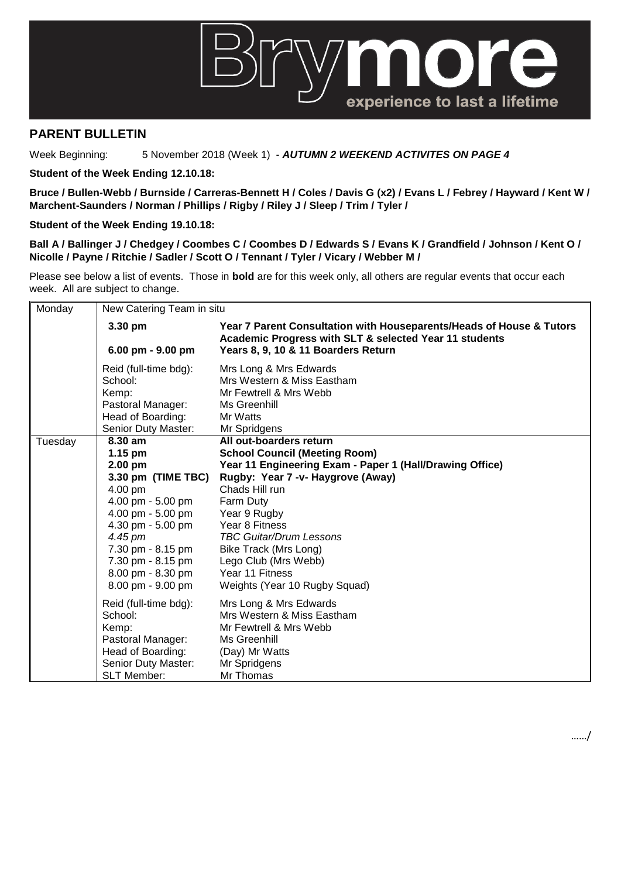

## **PARENT BULLETIN**

Week Beginning: 5 November 2018 (Week 1) - *AUTUMN 2 WEEKEND ACTIVITES ON PAGE 4*

**Student of the Week Ending 12.10.18:**

**Bruce / Bullen-Webb / Burnside / Carreras-Bennett H / Coles / Davis G (x2) / Evans L / Febrey / Hayward / Kent W / Marchent-Saunders / Norman / Phillips / Rigby / Riley J / Sleep / Trim / Tyler /** 

**Student of the Week Ending 19.10.18:**

**Ball A / Ballinger J / Chedgey / Coombes C / Coombes D / Edwards S / Evans K / Grandfield / Johnson / Kent O / Nicolle / Payne / Ritchie / Sadler / Scott O / Tennant / Tyler / Vicary / Webber M /** 

Please see below a list of events. Those in **bold** are for this week only, all others are regular events that occur each week. All are subject to change.

| Monday  | New Catering Team in situ |                                                                                                                                |  |
|---------|---------------------------|--------------------------------------------------------------------------------------------------------------------------------|--|
|         | 3.30 pm                   | Year 7 Parent Consultation with Houseparents/Heads of House & Tutors<br>Academic Progress with SLT & selected Year 11 students |  |
|         | 6.00 pm - 9.00 pm         | Years 8, 9, 10 & 11 Boarders Return                                                                                            |  |
|         | Reid (full-time bdg):     | Mrs Long & Mrs Edwards                                                                                                         |  |
|         | School:                   | Mrs Western & Miss Eastham                                                                                                     |  |
|         | Kemp:                     | Mr Fewtrell & Mrs Webb                                                                                                         |  |
|         | Pastoral Manager:         | Ms Greenhill                                                                                                                   |  |
|         | Head of Boarding:         | Mr Watts                                                                                                                       |  |
|         | Senior Duty Master:       | Mr Spridgens                                                                                                                   |  |
| Tuesday | 8.30 am                   | All out-boarders return                                                                                                        |  |
|         | $1.15$ pm                 | <b>School Council (Meeting Room)</b>                                                                                           |  |
|         | 2.00 pm                   | Year 11 Engineering Exam - Paper 1 (Hall/Drawing Office)                                                                       |  |
|         | 3.30 pm (TIME TBC)        | Rugby: Year 7 -v- Haygrove (Away)                                                                                              |  |
|         | 4.00 pm                   | Chads Hill run                                                                                                                 |  |
|         | 4.00 pm - 5.00 pm         | Farm Duty                                                                                                                      |  |
|         | 4.00 pm - 5.00 pm         | Year 9 Rugby                                                                                                                   |  |
|         | 4.30 pm - 5.00 pm         | Year 8 Fitness                                                                                                                 |  |
|         | 4.45 pm                   | <b>TBC Guitar/Drum Lessons</b>                                                                                                 |  |
|         | 7.30 pm - 8.15 pm         | Bike Track (Mrs Long)                                                                                                          |  |
|         | 7.30 pm - 8.15 pm         | Lego Club (Mrs Webb)                                                                                                           |  |
|         | 8.00 pm - 8.30 pm         | Year 11 Fitness                                                                                                                |  |
|         | 8.00 pm - 9.00 pm         | Weights (Year 10 Rugby Squad)                                                                                                  |  |
|         | Reid (full-time bdg):     | Mrs Long & Mrs Edwards                                                                                                         |  |
|         | School:                   | Mrs Western & Miss Eastham                                                                                                     |  |
|         | Kemp:                     | Mr Fewtrell & Mrs Webb                                                                                                         |  |
|         | Pastoral Manager:         | Ms Greenhill                                                                                                                   |  |
|         | Head of Boarding:         | (Day) Mr Watts                                                                                                                 |  |
|         | Senior Duty Master:       | Mr Spridgens                                                                                                                   |  |
|         | <b>SLT Member:</b>        | Mr Thomas                                                                                                                      |  |

……/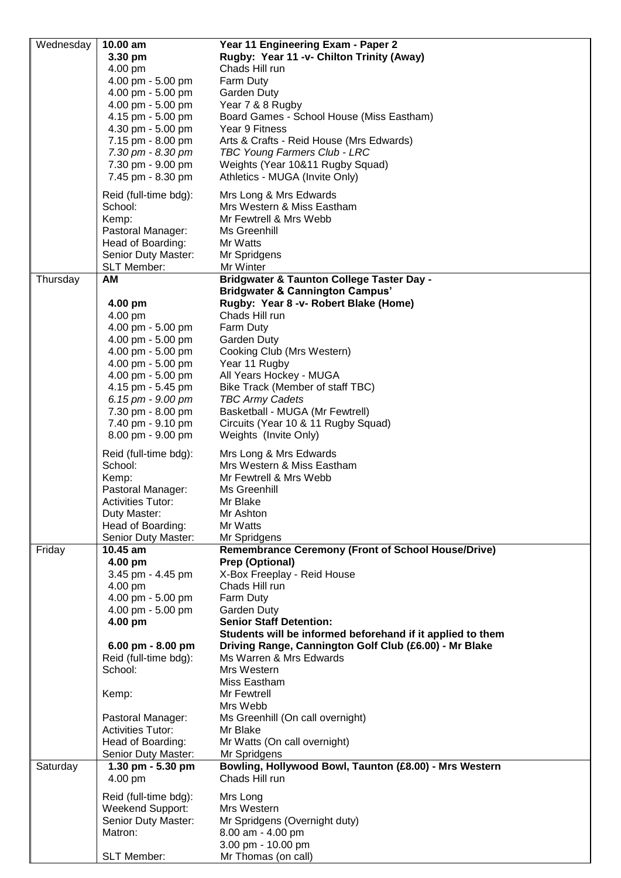|           | 10.00 am                 | Year 11 Engineering Exam - Paper 2                         |
|-----------|--------------------------|------------------------------------------------------------|
| Wednesday |                          |                                                            |
|           | 3.30 pm                  | Rugby: Year 11 -v- Chilton Trinity (Away)                  |
|           | 4.00 pm                  | Chads Hill run                                             |
|           | 4.00 pm - 5.00 pm        | Farm Duty                                                  |
|           | 4.00 pm - 5.00 pm        | Garden Duty                                                |
|           | 4.00 pm - 5.00 pm        | Year 7 & 8 Rugby                                           |
|           |                          |                                                            |
|           | 4.15 pm - 5.00 pm        | Board Games - School House (Miss Eastham)                  |
|           | 4.30 pm - 5.00 pm        | Year 9 Fitness                                             |
|           | 7.15 pm - 8.00 pm        | Arts & Crafts - Reid House (Mrs Edwards)                   |
|           | 7.30 pm - 8.30 pm        | TBC Young Farmers Club - LRC                               |
|           | 7.30 pm - 9.00 pm        | Weights (Year 10&11 Rugby Squad)                           |
|           | 7.45 pm - 8.30 pm        | Athletics - MUGA (Invite Only)                             |
|           |                          |                                                            |
|           | Reid (full-time bdg):    | Mrs Long & Mrs Edwards                                     |
|           | School:                  | Mrs Western & Miss Eastham                                 |
|           | Kemp:                    | Mr Fewtrell & Mrs Webb                                     |
|           | Pastoral Manager:        | Ms Greenhill                                               |
|           | Head of Boarding:        | Mr Watts                                                   |
|           |                          |                                                            |
|           | Senior Duty Master:      | Mr Spridgens                                               |
|           | SLT Member:              | Mr Winter                                                  |
| Thursday  | <b>AM</b>                | <b>Bridgwater &amp; Taunton College Taster Day -</b>       |
|           |                          | <b>Bridgwater &amp; Cannington Campus'</b>                 |
|           | 4.00 pm                  | Rugby: Year 8 -v- Robert Blake (Home)                      |
|           | 4.00 pm                  | Chads Hill run                                             |
|           | 4.00 pm - 5.00 pm        | Farm Duty                                                  |
|           | 4.00 pm - 5.00 pm        | Garden Duty                                                |
|           | 4.00 pm - 5.00 pm        | Cooking Club (Mrs Western)                                 |
|           | 4.00 pm - 5.00 pm        | Year 11 Rugby                                              |
|           | 4.00 pm - 5.00 pm        | All Years Hockey - MUGA                                    |
|           | 4.15 pm - 5.45 pm        | Bike Track (Member of staff TBC)                           |
|           |                          |                                                            |
|           | 6.15 pm - 9.00 pm        | <b>TBC Army Cadets</b>                                     |
|           | 7.30 pm - 8.00 pm        | Basketball - MUGA (Mr Fewtrell)                            |
|           | 7.40 pm - 9.10 pm        | Circuits (Year 10 & 11 Rugby Squad)                        |
|           | 8.00 pm - 9.00 pm        | Weights (Invite Only)                                      |
|           | Reid (full-time bdg):    | Mrs Long & Mrs Edwards                                     |
|           | School:                  | Mrs Western & Miss Eastham                                 |
|           |                          | Mr Fewtrell & Mrs Webb                                     |
|           | Kemp:                    |                                                            |
|           | Pastoral Manager:        | Ms Greenhill                                               |
|           | <b>Activities Tutor:</b> | Mr Blake                                                   |
|           | Duty Master:             | Mr Ashton                                                  |
|           |                          |                                                            |
|           | Head of Boarding:        | Mr Watts                                                   |
|           | Senior Duty Master:      | Mr Spridgens                                               |
| Friday    | 10.45 am                 | <b>Remembrance Ceremony (Front of School House/Drive)</b>  |
|           | 4.00 pm                  | Prep (Optional)                                            |
|           |                          |                                                            |
|           | 3.45 pm - 4.45 pm        | X-Box Freeplay - Reid House<br>Chads Hill run              |
|           | 4.00 pm                  |                                                            |
|           | 4.00 pm - 5.00 pm        | Farm Duty                                                  |
|           | 4.00 pm - 5.00 pm        | <b>Garden Duty</b>                                         |
|           | 4.00 pm                  | <b>Senior Staff Detention:</b>                             |
|           |                          | Students will be informed beforehand if it applied to them |
|           | 6.00 pm - 8.00 pm        | Driving Range, Cannington Golf Club (£6.00) - Mr Blake     |
|           | Reid (full-time bdg):    | Ms Warren & Mrs Edwards                                    |
|           | School:                  | Mrs Western                                                |
|           |                          | Miss Eastham                                               |
|           | Kemp:                    | Mr Fewtrell                                                |
|           |                          | Mrs Webb                                                   |
|           | Pastoral Manager:        | Ms Greenhill (On call overnight)                           |
|           | <b>Activities Tutor:</b> | Mr Blake                                                   |
|           | Head of Boarding:        | Mr Watts (On call overnight)                               |
|           |                          |                                                            |
|           | Senior Duty Master:      | Mr Spridgens                                               |
| Saturday  | 1.30 pm - 5.30 pm        | Bowling, Hollywood Bowl, Taunton (£8.00) - Mrs Western     |
|           | 4.00 pm                  | Chads Hill run                                             |
|           | Reid (full-time bdg):    | Mrs Long                                                   |
|           | Weekend Support:         | Mrs Western                                                |
|           | Senior Duty Master:      | Mr Spridgens (Overnight duty)                              |
|           | Matron:                  |                                                            |
|           |                          | 8.00 am - 4.00 pm<br>3.00 pm - 10.00 pm                    |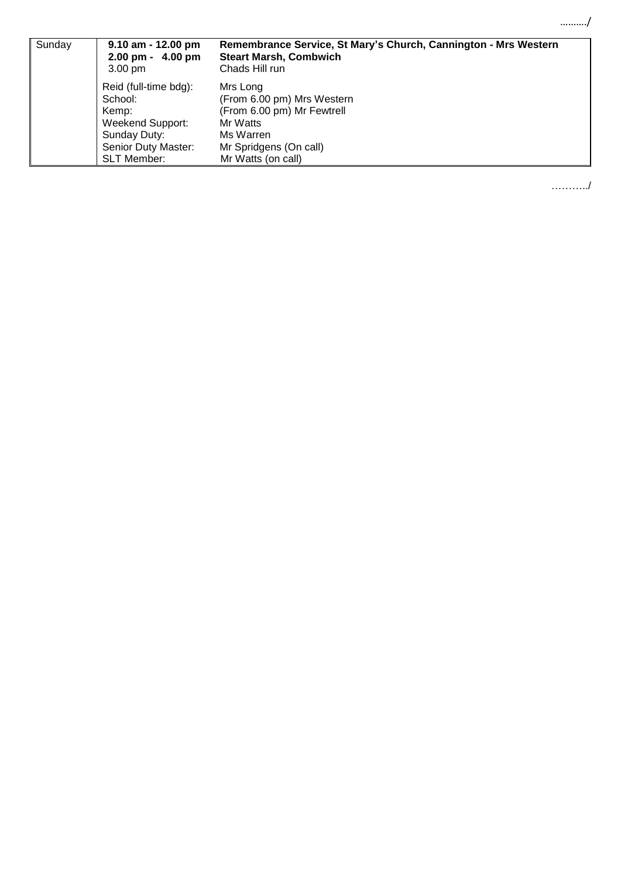| Sunday | $9.10$ am - 12.00 pm<br>$2.00 \text{ pm} - 4.00 \text{ pm}$<br>$3.00 \text{ pm}$ | Remembrance Service, St Mary's Church, Cannington - Mrs Western<br><b>Steart Marsh, Combwich</b><br>Chads Hill run |
|--------|----------------------------------------------------------------------------------|--------------------------------------------------------------------------------------------------------------------|
|        | Reid (full-time bdg):                                                            | Mrs Long                                                                                                           |
|        | School:                                                                          | (From 6.00 pm) Mrs Western                                                                                         |
|        | Kemp:                                                                            | (From 6.00 pm) Mr Fewtrell                                                                                         |
|        | <b>Weekend Support:</b>                                                          | Mr Watts                                                                                                           |
|        | Sunday Duty:                                                                     | Ms Warren                                                                                                          |
|        | Senior Duty Master:                                                              | Mr Spridgens (On call)                                                                                             |
|        | <b>SLT Member:</b>                                                               | Mr Watts (on call)                                                                                                 |

………../